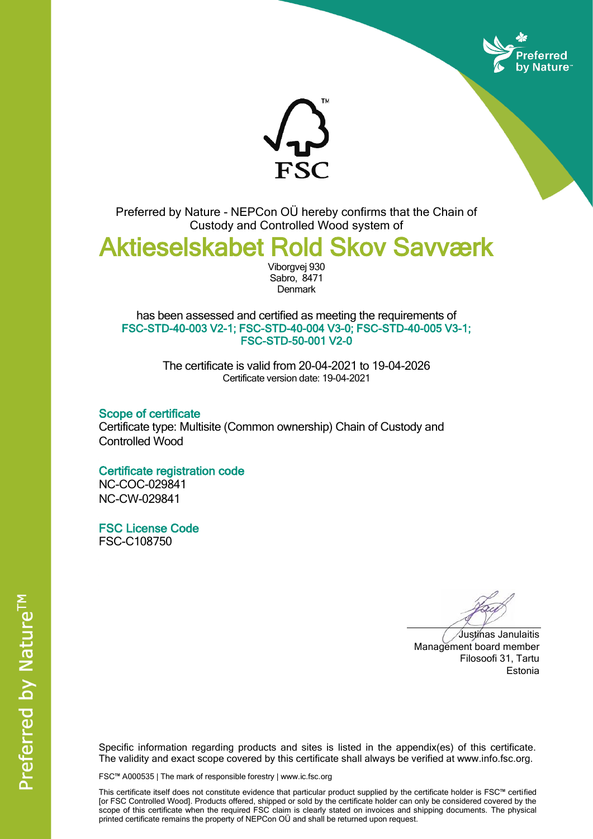



Preferred by Nature - NEPCon OÜ hereby confirms that the Chain of Custody and Controlled Wood system of

Aktieselskabet Rold Skov Savværk

Viborgvej 930 Sabro, 8471 **Denmark** 

has been assessed and certified as meeting the requirements of FSC-STD-40-003 V2-1; FSC-STD-40-004 V3-0; FSC-STD-40-005 V3-1; FSC-STD-50-001 V2-0

> The certificate is valid from 20-04-2021 to 19-04-2026 Certificate version date: 19-04-2021

Scope of certificate Certificate type: Multisite (Common ownership) Chain of Custody and Controlled Wood

## Certificate registration code

NC-COC-029841 NC-CW-029841

FSC License Code FSC-C108750

Justinas Janulaitis Management board member Filosoofi 31, Tartu Estonia

Specific information regarding products and sites is listed in the appendix(es) of this certificate. The validity and exact scope covered by this certificate shall always be verified at www.info.fsc.org.

FSC™ A000535 | The mark of responsible forestry | www.ic.fsc.org

This certificate itself does not constitute evidence that particular product supplied by the certificate holder is FSC™ certified [or FSC Controlled Wood]. Products offered, shipped or sold by the certificate holder can only be considered covered by the scope of this certificate when the required FSC claim is clearly stated on invoices and shipping documents. The physical printed certificate remains the property of NEPCon OÜ and shall be returned upon request.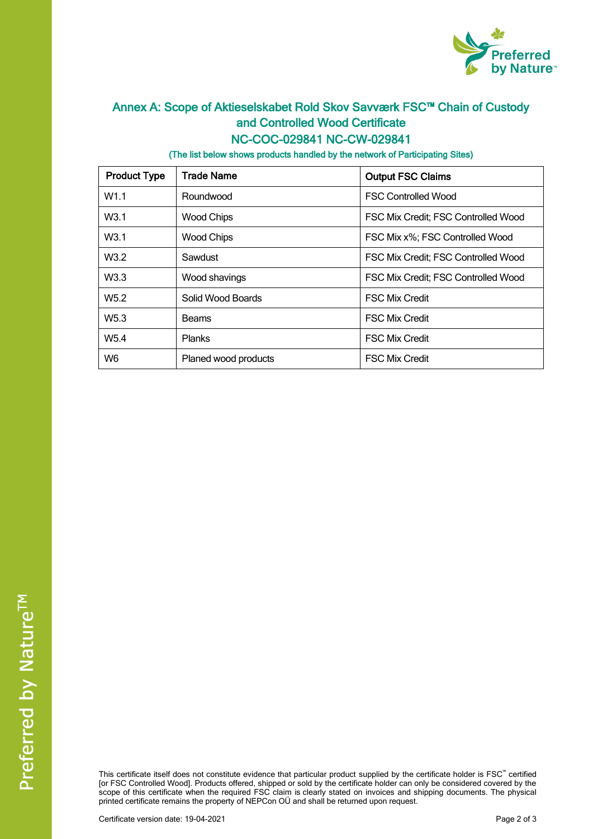

## Annex A: Scope of Aktieselskabet Rold Skov Savværk FSC™ Chain of Custody and Controlled Wood Certificate NC-COC-029841 NC-CW-029841

(The list below shows products handled by the network of Participating Sites)

| <b>Product Type</b> | <b>Trade Name</b>    | <b>Output FSC Claims</b>            |  |
|---------------------|----------------------|-------------------------------------|--|
| W1.1                | Roundwood            | <b>FSC Controlled Wood</b>          |  |
| W <sub>3.1</sub>    | <b>Wood Chips</b>    | FSC Mix Credit; FSC Controlled Wood |  |
| W <sub>3.1</sub>    | <b>Wood Chips</b>    | FSC Mix x%; FSC Controlled Wood     |  |
| W3.2                | Sawdust              | FSC Mix Credit; FSC Controlled Wood |  |
| W3.3                | Wood shavings        | FSC Mix Credit; FSC Controlled Wood |  |
| W <sub>5.2</sub>    | Solid Wood Boards    | <b>FSC Mix Credit</b>               |  |
| W <sub>5.3</sub>    | Beams                | <b>FSC Mix Credit</b>               |  |
| W <sub>5.4</sub>    | <b>Planks</b>        | <b>FSC Mix Credit</b>               |  |
| W <sub>6</sub>      | Planed wood products | <b>FSC Mix Credit</b>               |  |

This certificate itself does not constitute evidence that particular product supplied by the certificate holder is FSC™ certified [or FSC Controlled Wood]. Products offered, shipped or sold by the certificate holder can only be considered covered by the scope of this certificate when the required FSC claim is clearly stated on invoices and shipping documents. The physical printed certificate remains the property of NEPCon OÜ and shall be returned upon request.